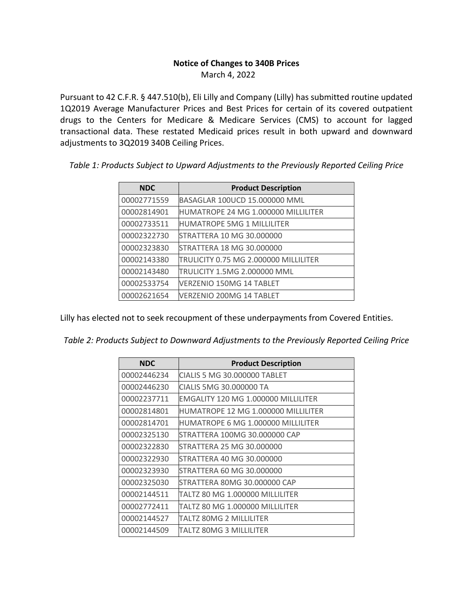## **Notice of Changes to 340B Prices** March 4, 2022

Pursuant to 42 C.F.R. § 447.510(b), Eli Lilly and Company (Lilly) has submitted routine updated 1Q2019 Average Manufacturer Prices and Best Prices for certain of its covered outpatient drugs to the Centers for Medicare & Medicare Services (CMS) to account for lagged transactional data. These restated Medicaid prices result in both upward and downward adjustments to 3Q2019 340B Ceiling Prices.

| <b>NDC</b>  | <b>Product Description</b>            |
|-------------|---------------------------------------|
| 00002771559 | BASAGLAR 100UCD 15.000000 MML         |
| 00002814901 | HUMATROPE 24 MG 1.000000 MILLILITER   |
| 00002733511 | <b>HUMATROPE 5MG 1 MILLILITER</b>     |
| 00002322730 | STRATTERA 10 MG 30.000000             |
| 00002323830 | STRATTERA 18 MG 30.000000             |
| 00002143380 | TRULICITY 0.75 MG 2.000000 MILLILITER |
| 00002143480 | TRULICITY 1.5MG 2.000000 MML          |
| 00002533754 | VERZENIO 150MG 14 TABLET              |
| 00002621654 | VERZENIO 200MG 14 TABLET              |

*Table 1: Products Subject to Upward Adjustments to the Previously Reported Ceiling Price*

Lilly has elected not to seek recoupment of these underpayments from Covered Entities.

*Table 2: Products Subject to Downward Adjustments to the Previously Reported Ceiling Price*

| <b>NDC</b>  | <b>Product Description</b>          |
|-------------|-------------------------------------|
| 00002446234 | CIALIS 5 MG 30.000000 TABLET        |
| 00002446230 | CIALIS 5MG 30.000000 TA             |
| 00002237711 | EMGALITY 120 MG 1.000000 MILLILITER |
| 00002814801 | HUMATROPE 12 MG 1.000000 MILLILITER |
| 00002814701 | HUMATROPE 6 MG 1.000000 MILLILITER  |
| 00002325130 | STRATTERA 100MG 30.000000 CAP       |
| 00002322830 | STRATTERA 25 MG 30.000000           |
| 00002322930 | STRATTERA 40 MG 30.000000           |
| 00002323930 | STRATTERA 60 MG 30.000000           |
| 00002325030 | STRATTERA 80MG 30.000000 CAP        |
| 00002144511 | TALTZ 80 MG 1.000000 MILLILITER     |
| 00002772411 | TALTZ 80 MG 1.000000 MILLILITER     |
| 00002144527 | TALTZ 80MG 2 MILLILITER             |
| 00002144509 | TALTZ 80MG 3 MILLILITER             |